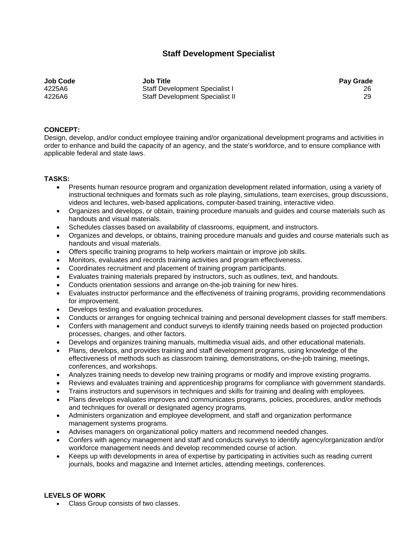## **Staff Development Specialist**

**Job Code Job Title Pay Grade**  4225A6 Staff Development Specialist I 26 4226A6 Staff Development Specialist II 29

## **CONCEPT:**

Design, develop, and/or conduct employee training and/or organizational development programs and activities in order to enhance and build the capacity of an agency, and the state's workforce, and to ensure compliance with applicable federal and state laws.

## **TASKS:**

- Presents human resource program and organization development related information, using a variety of instructional techniques and formats such as role playing, simulations, team exercises, group discussions, videos and lectures, web-based applications, computer-based training, interactive video.
- Organizes and develops, or obtain, training procedure manuals and guides and course materials such as handouts and visual materials.
- Schedules classes based on availability of classrooms, equipment, and instructors.
- Organizes and develops, or obtains, training procedure manuals and guides and course materials such as handouts and visual materials.
- Offers specific training programs to help workers maintain or improve job skills.
- Monitors, evaluates and records training activities and program effectiveness.
- Coordinates recruitment and placement of training program participants.
- Evaluates training materials prepared by instructors, such as outlines, text, and handouts.
- Conducts orientation sessions and arrange on-the-job training for new hires.
- Evaluates instructor performance and the effectiveness of training programs, providing recommendations for improvement.
- Develops testing and evaluation procedures.
- Conducts or arranges for ongoing technical training and personal development classes for staff members.
- Confers with management and conduct surveys to identify training needs based on projected production processes, changes, and other factors.
- Develops and organizes training manuals, multimedia visual aids, and other educational materials.
- Plans, develops, and provides training and staff development programs, using knowledge of the effectiveness of methods such as classroom training, demonstrations, on-the-job training, meetings, conferences, and workshops.
- Analyzes training needs to develop new training programs or modify and improve existing programs.
- Reviews and evaluates training and apprenticeship programs for compliance with government standards.
- Trains instructors and supervisors in techniques and skills for training and dealing with employees.
- Plans develops evaluates improves and communicates programs, policies, procedures, and/or methods and techniques for overall or designated agency programs.
- Administers organization and employee development, and staff and organization performance management systems programs.
- Advises managers on organizational policy matters and recommend needed changes.
- Confers with agency management and staff and conducts surveys to identify agency/organization and/or workforce management needs and develop recommended course of action.
- Keeps up with developments in area of expertise by participating in activities such as reading current journals, books and magazine and Internet articles, attending meetings, conferences.

## **LEVELS OF WORK**

• Class Group consists of two classes.